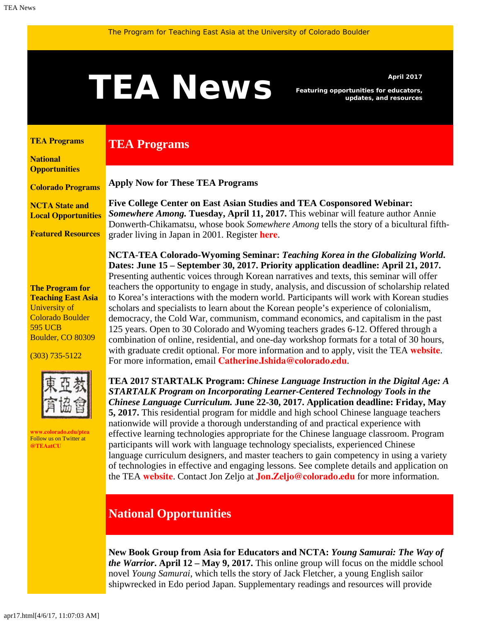# <span id="page-0-1"></span>A News *Featuring opportunities for educators,*<br>and resources

**Apply Now for These TEA Programs**

**TEA Programs**

*Featuring opportunities for educators, updates, and resources*

#### <span id="page-0-0"></span>**[TEA Programs](#page-0-0)**

**[National](#page-0-1) [Opportunities](#page-0-1)**

**[Colorado Programs](#page-0-1)**

**[NCTA State and](#page-1-0) [Local Opportunities](#page-1-0)**

**[Featured Resources](#page-1-1)**

**The Program for Teaching East Asia** University of Colorado Boulder 595 UCB Boulder, CO 80309

(303) 735-5122



**[www.colorado.edu/ptea](http://www.colorado.edu/cas/tea)** Follow us on Twitter at **[@TEAatCU](https://twitter.com/TEAatCU)**

**Five College Center on East Asian Studies and TEA Cosponsored Webinar:** *Somewhere Among.* **Tuesday, April 11, 2017.** This webinar will feature author Annie Donwerth-Chikamatsu, whose book *Somewhere Among* tells the story of a bicultural fifthgrader living in Japan in 2001. Register **[here](https://attendee.gotowebinar.com/register/3947167958976154115)**.

**NCTA-TEA Colorado-Wyoming Seminar:** *Teaching Korea in the Globalizing World***. Dates: June 15 – September 30, 2017. Priority application deadline: April 21, 2017.** Presenting authentic voices through Korean narratives and texts, this seminar will offer teachers the opportunity to engage in study, analysis, and discussion of scholarship related to Korea's interactions with the modern world. Participants will work with Korean studies scholars and specialists to learn about the Korean people's experience of colonialism, democracy, the Cold War, communism, command economics, and capitalism in the past 125 years. Open to 30 Colorado and Wyoming teachers grades 6-12. Offered through a combination of online, residential, and one-day workshop formats for a total of 30 hours, with graduate credit optional. For more information and to apply, visit the TEA **[website](http://www.colorado.edu/ptea/sites/default/files/attached-files/kf2017semflyer.pdf)**. For more information, email **[Catherine.Ishida@colorado.edu](mailto:Catherine.Ishida@colorado.edu)**.

**TEA 2017 STARTALK Program:** *Chinese Language Instruction in the Digital Age: A STARTALK Program on Incorporating Learner-Centered Technology Tools in the Chinese Language Curriculum.* **June 22-30, 2017. Application deadline: Friday, May 5, 2017.** This residential program for middle and high school Chinese language teachers nationwide will provide a thorough understanding of and practical experience with effective learning technologies appropriate for the Chinese language classroom. Program participants will work with language technology specialists, experienced Chinese language curriculum designers, and master teachers to gain competency in using a variety of technologies in effective and engaging lessons. See complete details and application on the TEA **[website](http://www.colorado.edu/ptea/programs/teaching-east-asia-china/startalk)**. Contact Jon Zeljo at **[Jon.Zeljo@colorado.edu](mailto:Jon.Zeljo@colorado.edu)** for more information.

# **National Opportunities**

**New Book Group from Asia for Educators and NCTA:** *Young Samurai: The Way of the Warrior***. April 12 – May 9, 2017.** This online group will focus on the middle school novel *Young Samurai*, which tells the story of Jack Fletcher, a young English sailor shipwrecked in Edo period Japan. Supplementary readings and resources will provide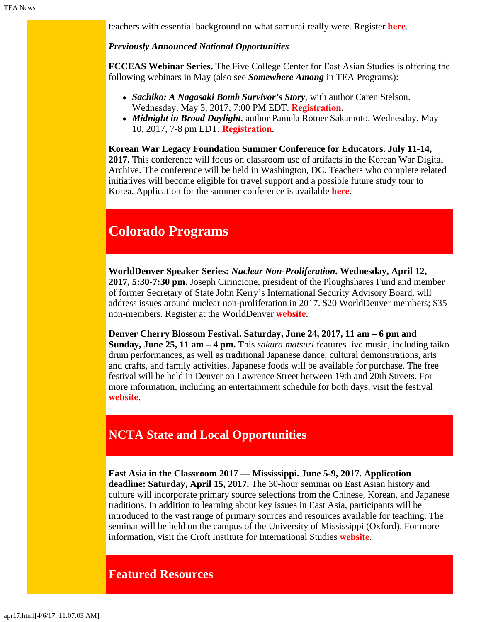teachers with essential background on what samurai really were. Register **[here](http://asiaforeducators.org/login/index.php)**.

### *Previously Announced National Opportunities*

**FCCEAS Webinar Series.** The Five College Center for East Asian Studies is offering the following webinars in May (also see *Somewhere Among* in TEA Programs):

- *Sachiko: A Nagasaki Bomb Survivor's Story*, with author Caren Stelson. Wednesday, May 3, 2017, 7:00 PM EDT. **[Registration](https://attendee.gotowebinar.com/register/156825922730581761)**.
- *Midnight in Broad Daylight*, author Pamela Rotner Sakamoto. Wednesday, May 10, 2017, 7-8 pm EDT. **[Registration](https://attendee.gotowebinar.com/register/921063470282094851)**.

**Korean War Legacy Foundation Summer Conference for Educators. July 11-14, 2017.** This conference will focus on classroom use of artifacts in the Korean War Digital Archive. The conference will be held in Washington, DC. Teachers who complete related initiatives will become eligible for travel support and a possible future study tour to Korea. Application for the summer conference is available **[here](https://koreanwardigitalhistoryproject.submittable.com/submit/74807/2017-korean-war-digital-history-project-teacher-conference)**.

# **Colorado Programs**

**WorldDenver Speaker Series:** *Nuclear Non-Proliferation***. Wednesday, April 12, 2017, 5:30-7:30 pm.** Joseph Cirincione, president of the Ploughshares Fund and member of former Secretary of State John Kerry's International Security Advisory Board, will address issues around nuclear non-proliferation in 2017. \$20 WorldDenver members; \$35 non-members. Register at the WorldDenver **[website](https://denverworldaffairscouncil.wildapricot.org/event-2429613/Registration)**.

**Denver Cherry Blossom Festival. Saturday, June 24, 2017, 11 am – 6 pm and Sunday, June 25, 11 am – 4 pm.** This *sakura matsuri* features live music, including taiko drum performances, as well as traditional Japanese dance, cultural demonstrations, arts and crafts, and family activities. Japanese foods will be available for purchase. The free festival will be held in Denver on Lawrence Street between 19th and 20th Streets. For more information, including an entertainment schedule for both days, visit the festival **[website](http://cherryblossomdenver.org/)**.

# <span id="page-1-0"></span>**NCTA State and Local Opportunities**

**East Asia in the Classroom 2017 — Mississippi. June 5-9, 2017. Application deadline: Saturday, April 15, 2017.** The 30-hour seminar on East Asian history and culture will incorporate primary source selections from the Chinese, Korean, and Japanese traditions. In addition to learning about key issues in East Asia, participants will be introduced to the vast range of primary sources and resources available for teaching. The seminar will be held on the campus of the University of Mississippi (Oxford). For more information, visit the Croft Institute for International Studies **[website](http://www.croft.olemiss.edu/teachers/east-asia-workshop)**.

## <span id="page-1-1"></span>**Featured Resources**